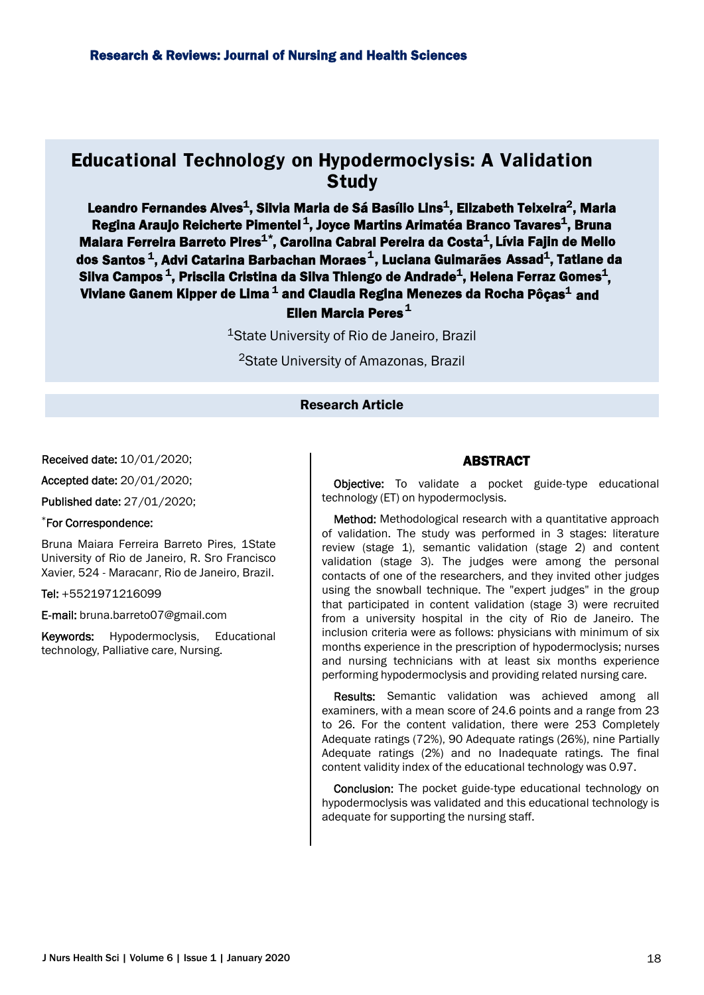# **Educational Technology on Hypodermoclysis: A Validation Study**

Leandro Fernandes Alves $^{\tt 1}$ , Silvia Maria de Sá Basílio Lins $^{\tt 1}$ , Elizabeth Teixeira $^{\tt 2}$ , Maria Regina Araujo Reicherte Pimentel $^{\texttt{1}},$  Joyce Martins Arimatéa Branco Tavares $^{\texttt{1}},$  Bruna Malara Ferreira Barreto Pires $^{\mathbf{1}^\ast}$ , Carolina Cabral Pereira da Costa $^{\mathbf{1}},$  Lívia Fajin de Mello Ellen Marcia Peres<sup>1</sup> dos Santos $^{\texttt{1}},$  Advi Catarina Barbachan Moraes $^{\texttt{1}},$  Luciana Guimarães Assad $^{\texttt{1}},$  Tatiane da Silva Campos $^{\text{\text{1}}},$  Priscila Cristina da Silva Thiengo de Andrade $^{\text{\text{1}}},$  Helena Ferraz Gomes $^{\text{\text{1}}},$ Viviane Ganem Kipper de Lima $^{\texttt{1}}$  and Claudia Regina Menezes da Rocha Pôças $^{\texttt{1}}$  and

<sup>1</sup>State University of Rio de Janeiro, Brazil

<sup>2</sup>State University of Amazonas, Brazil

Research Article

Received date: 10/01/2020;

Accepted date: 20/01/2020;

Published date: 27/01/2020;

#### \*For Correspondence:

Bruna Maiara Ferreira Barreto Pires, 1State University of Rio de Janeiro, R. Sro Francisco Xavier, 524 - Maracanr, Rio de Janeiro, Brazil.

Tel: +5521971216099

E-mail: bruna.barreto07@gmail.com

Keywords: Hypodermoclysis, Educational technology, Palliative care, Nursing.

### ABSTRACT

**Objective:** To validate a pocket guide-type educational technology (ET) on hypodermoclysis.

Method: Methodological research with a quantitative approach of validation. The study was performed in 3 stages: literature review (stage 1), semantic validation (stage 2) and content validation (stage 3). The judges were among the personal contacts of one of the researchers, and they invited other judges using the snowball technique. The "expert judges" in the group that participated in content validation (stage 3) were recruited from a university hospital in the city of Rio de Janeiro. The inclusion criteria were as follows: physicians with minimum of six months experience in the prescription of hypodermoclysis; nurses and nursing technicians with at least six months experience performing hypodermoclysis and providing related nursing care.

Results: Semantic validation was achieved among all examiners, with a mean score of 24.6 points and a range from 23 to 26. For the content validation, there were 253 Completely Adequate ratings (72%), 90 Adequate ratings (26%), nine Partially Adequate ratings (2%) and no Inadequate ratings. The final content validity index of the educational technology was 0.97.

Conclusion: The pocket guide-type educational technology on hypodermoclysis was validated and this educational technology is adequate for supporting the nursing staff.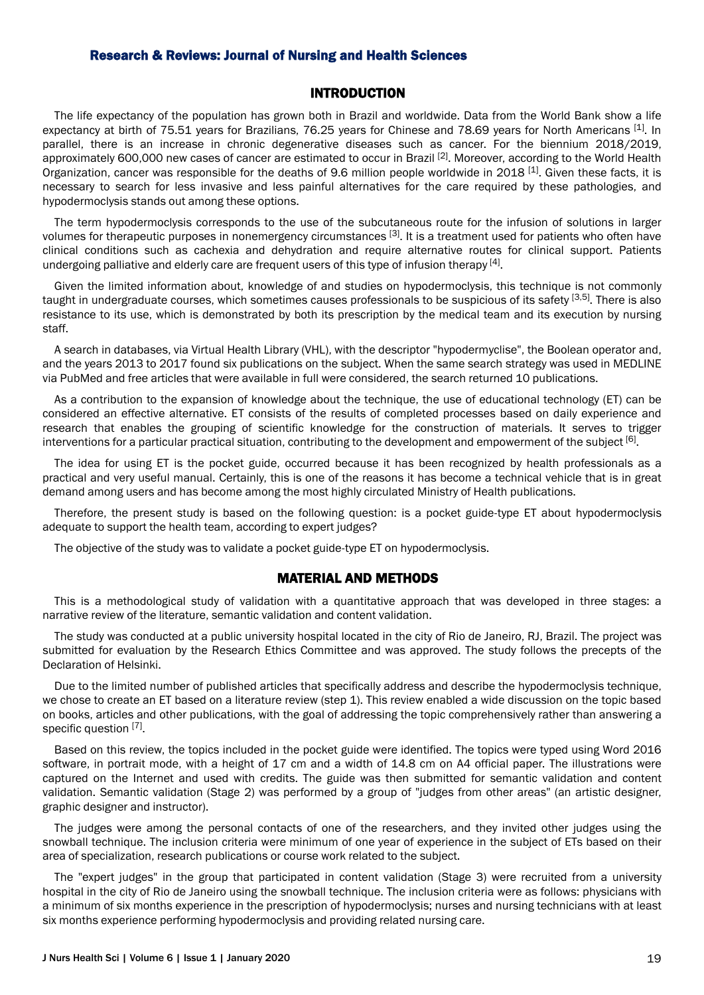### INTRODUCTION

The life expectancy of the population has grown both in Brazil and worldwide. Data from the World Bank show a life expectancy at birth of 75.51 years for Brazilians, 76.25 years for Chinese and 78.69 years for North Americans [1]. In parallel, there is an increase in chronic degenerative diseases such as cancer. For the biennium 2018/2019, approximately 600,000 new cases of cancer are estimated to occur in Brazil [2]. Moreover, according to the World Health Organization, cancer was responsible for the deaths of 9.6 million people worldwide in 2018 [1]. Given these facts, it is necessary to search for less invasive and less painful alternatives for the care required by these pathologies, and hypodermoclysis stands out among these options.

The term hypodermoclysis corresponds to the use of the subcutaneous route for the infusion of solutions in larger volumes for therapeutic purposes in nonemergency circumstances [3]. It is a treatment used for patients who often have clinical conditions such as cachexia and dehydration and require alternative routes for clinical support. Patients undergoing palliative and elderly care are frequent users of this type of infusion therapy [4].

Given the limited information about, knowledge of and studies on hypodermoclysis, this technique is not commonly taught in undergraduate courses, which sometimes causes professionals to be suspicious of its safety [3,5]. There is also resistance to its use, which is demonstrated by both its prescription by the medical team and its execution by nursing staff.

A search in databases, via Virtual Health Library (VHL), with the descriptor "hypodermyclise", the Boolean operator and, and the years 2013 to 2017 found six publications on the subject. When the same search strategy was used in MEDLINE via PubMed and free articles that were available in full were considered, the search returned 10 publications.

As a contribution to the expansion of knowledge about the technique, the use of educational technology (ET) can be considered an effective alternative. ET consists of the results of completed processes based on daily experience and research that enables the grouping of scientific knowledge for the construction of materials. It serves to trigger interventions for a particular practical situation, contributing to the development and empowerment of the subject <sup>[6]</sup>.

The idea for using ET is the pocket guide, occurred because it has been recognized by health professionals as a practical and very useful manual. Certainly, this is one of the reasons it has become a technical vehicle that is in great demand among users and has become among the most highly circulated Ministry of Health publications.

Therefore, the present study is based on the following question: is a pocket guide-type ET about hypodermoclysis adequate to support the health team, according to expert judges?

The objective of the study was to validate a pocket guide-type ET on hypodermoclysis.

#### MATERIAL AND METHODS

This is a methodological study of validation with a quantitative approach that was developed in three stages: a narrative review of the literature, semantic validation and content validation.

The study was conducted at a public university hospital located in the city of Rio de Janeiro, RJ, Brazil. The project was submitted for evaluation by the Research Ethics Committee and was approved. The study follows the precepts of the Declaration of Helsinki.

Due to the limited number of published articles that specifically address and describe the hypodermoclysis technique, we chose to create an ET based on a literature review (step 1). This review enabled a wide discussion on the topic based on books, articles and other publications, with the goal of addressing the topic comprehensively rather than answering a specific question [7].

Based on this review, the topics included in the pocket guide were identified. The topics were typed using Word 2016 software, in portrait mode, with a height of 17 cm and a width of 14.8 cm on A4 official paper. The illustrations were captured on the Internet and used with credits. The guide was then submitted for semantic validation and content validation. Semantic validation (Stage 2) was performed by a group of "judges from other areas" (an artistic designer, graphic designer and instructor).

The judges were among the personal contacts of one of the researchers, and they invited other judges using the snowball technique. The inclusion criteria were minimum of one year of experience in the subject of ETs based on their area of specialization, research publications or course work related to the subject.

The "expert judges" in the group that participated in content validation (Stage 3) were recruited from a university hospital in the city of Rio de Janeiro using the snowball technique. The inclusion criteria were as follows: physicians with a minimum of six months experience in the prescription of hypodermoclysis; nurses and nursing technicians with at least six months experience performing hypodermoclysis and providing related nursing care.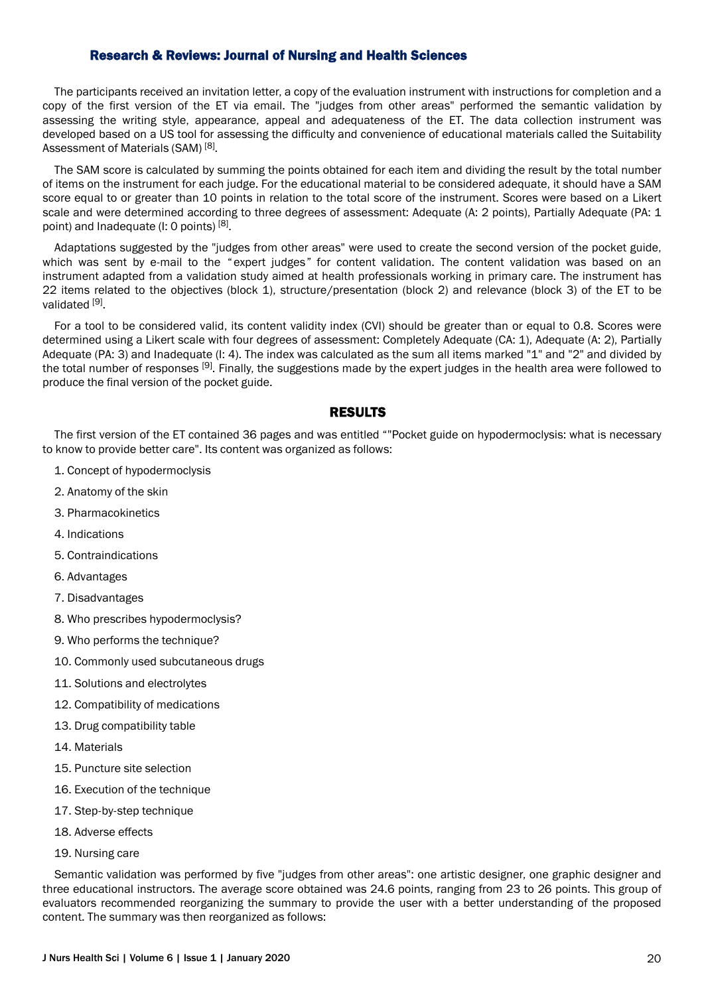The participants received an invitation letter, a copy of the evaluation instrument with instructions for completion and a copy of the first version of the ET via email. The "judges from other areas" performed the semantic validation by assessing the writing style, appearance, appeal and adequateness of the ET. The data collection instrument was developed based on a US tool for assessing the difficulty and convenience of educational materials called the Suitability Assessment of Materials (SAM)<sup>[8]</sup>.

The SAM score is calculated by summing the points obtained for each item and dividing the result by the total number of items on the instrument for each judge. For the educational material to be considered adequate, it should have a SAM score equal to or greater than 10 points in relation to the total score of the instrument. Scores were based on a Likert scale and were determined according to three degrees of assessment: Adequate (A: 2 points), Partially Adequate (PA: 1 point) and Inadequate (I: 0 points)<sup>[8]</sup>.

Adaptations suggested by the "judges from other areas" were used to create the second version of the pocket guide, which was sent by e-mail to the "expert judges" for content validation. The content validation was based on an instrument adapted from a validation study aimed at health professionals working in primary care. The instrument has 22 items related to the objectives (block 1), structure/presentation (block 2) and relevance (block 3) of the ET to be validated [9].

For a tool to be considered valid, its content validity index (CVI) should be greater than or equal to 0.8. Scores were determined using a Likert scale with four degrees of assessment: Completely Adequate (CA: 1), Adequate (A: 2), Partially Adequate (PA: 3) and Inadequate (I: 4). The index was calculated as the sum all items marked "1" and "2" and divided by the total number of responses [9]. Finally, the suggestions made by the expert judges in the health area were followed to produce the final version of the pocket guide.

### RESULTS

The first version of the ET contained 36 pages and was entitled ""Pocket guide on hypodermoclysis: what is necessary to know to provide better care". Its content was organized as follows:

- 1. Concept of hypodermoclysis
- 2. Anatomy of the skin
- 3. Pharmacokinetics
- 4. Indications
- 5. Contraindications
- 6. Advantages
- 7. Disadvantages
- 8. Who prescribes hypodermoclysis?
- 9. Who performs the technique?
- 10. Commonly used subcutaneous drugs
- 11. Solutions and electrolytes
- 12. Compatibility of medications
- 13. Drug compatibility table
- 14. Materials
- 15. Puncture site selection
- 16. Execution of the technique
- 17. Step-by-step technique
- 18. Adverse effects
- 19. Nursing care

Semantic validation was performed by five "judges from other areas": one artistic designer, one graphic designer and three educational instructors. The average score obtained was 24.6 points, ranging from 23 to 26 points. This group of evaluators recommended reorganizing the summary to provide the user with a better understanding of the proposed content. The summary was then reorganized as follows: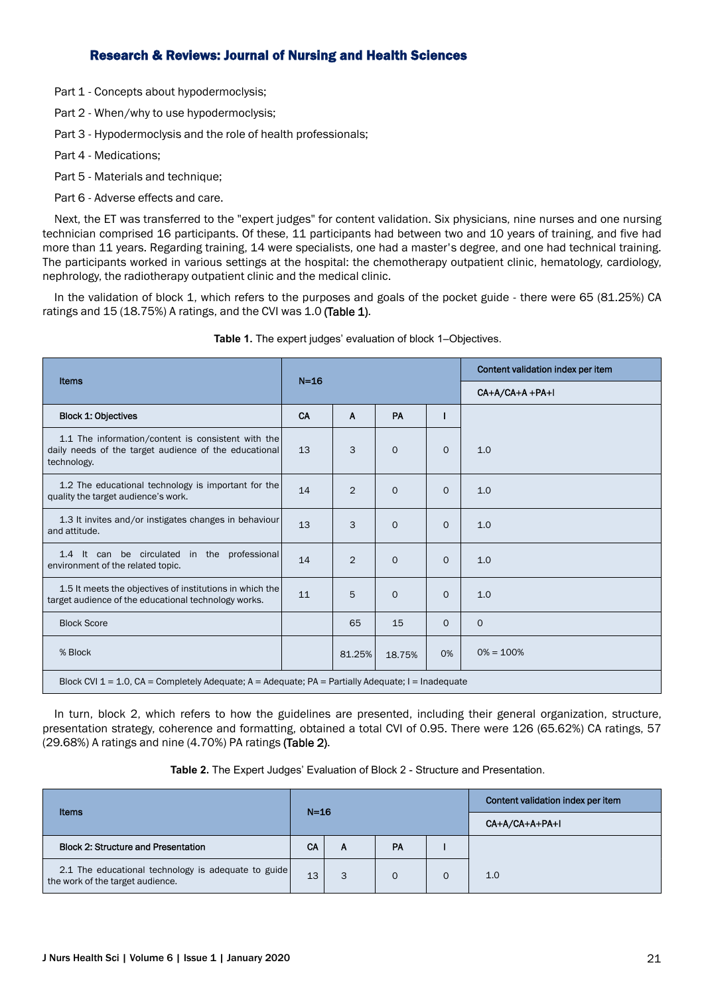Part 1 - Concepts about hypodermoclysis;

Part 2 - When/why to use hypodermoclysis;

Part 3 - Hypodermoclysis and the role of health professionals;

Part 4 - Medications;

Part 5 - Materials and technique;

Part 6 - Adverse effects and care.

Next, the ET was transferred to the "expert judges" for content validation. Six physicians, nine nurses and one nursing technician comprised 16 participants. Of these, 11 participants had between two and 10 years of training, and five had more than 11 years. Regarding training, 14 were specialists, one had a master's degree, and one had technical training. The participants worked in various settings at the hospital: the chemotherapy outpatient clinic, hematology, cardiology, nephrology, the radiotherapy outpatient clinic and the medical clinic.

In the validation of block 1, which refers to the purposes and goals of the pocket guide - there were 65 (81.25%) CA ratings and 15 (18.75%) A ratings, and the CVI was 1.0 (Table 1).

|                                                                                                                            | $N=16$ |                |              |          | Content validation index per item |  |  |
|----------------------------------------------------------------------------------------------------------------------------|--------|----------------|--------------|----------|-----------------------------------|--|--|
| Items                                                                                                                      |        |                |              |          | CA+A/CA+A +PA+I                   |  |  |
| <b>Block 1: Objectives</b>                                                                                                 | CA     | $\mathbf{A}$   | PA           |          |                                   |  |  |
| 1.1 The information/content is consistent with the<br>daily needs of the target audience of the educational<br>technology. | 13     | 3              | $\Omega$     | $\Omega$ | 1.0                               |  |  |
| 1.2 The educational technology is important for the<br>quality the target audience's work.                                 | 14     | 2              | $\Omega$     | $\Omega$ | 1.0                               |  |  |
| 1.3 It invites and/or instigates changes in behaviour<br>and attitude.                                                     | 13     | 3              | $\Omega$     | $\Omega$ | 1.0                               |  |  |
| 1.4 It can be circulated in the professional<br>environment of the related topic.                                          | 14     | $\overline{2}$ | $\mathbf{O}$ | $\Omega$ | 1.0                               |  |  |
| 1.5 It meets the objectives of institutions in which the<br>target audience of the educational technology works.           | 11     | 5              | $\mathbf{O}$ | $\Omega$ | 1.0                               |  |  |
| <b>Block Score</b>                                                                                                         |        | 65             | 15           | $\Omega$ | $\Omega$                          |  |  |
| % Block                                                                                                                    |        | 81.25%         | 18.75%       | 0%       | $0\% = 100\%$                     |  |  |
| Block CVI 1 = 1.0, CA = Completely Adequate; A = Adequate; PA = Partially Adequate; I = Inadequate                         |        |                |              |          |                                   |  |  |

**Table 1.** The expert judges' evaluation of block 1–Objectives.

In turn, block 2, which refers to how the guidelines are presented, including their general organization, structure, presentation strategy, coherence and formatting, obtained a total CVI of 0.95. There were 126 (65.62%) CA ratings, 57 (29.68%) A ratings and nine (4.70%) PA ratings (Table 2).

**Table 2.** The Expert Judges' Evaluation of Block 2 - Structure and Presentation.

| Items                                                                                   | $N=16$    |   |          |          | Content validation index per item |  |  |
|-----------------------------------------------------------------------------------------|-----------|---|----------|----------|-----------------------------------|--|--|
|                                                                                         |           |   |          |          | CA+A/CA+A+PA+I                    |  |  |
| <b>Block 2: Structure and Presentation</b>                                              | <b>CA</b> | А | PA       |          |                                   |  |  |
| 2.1 The educational technology is adequate to guide<br>the work of the target audience. | 13        | 3 | $\Omega$ | $\Omega$ | 1.0                               |  |  |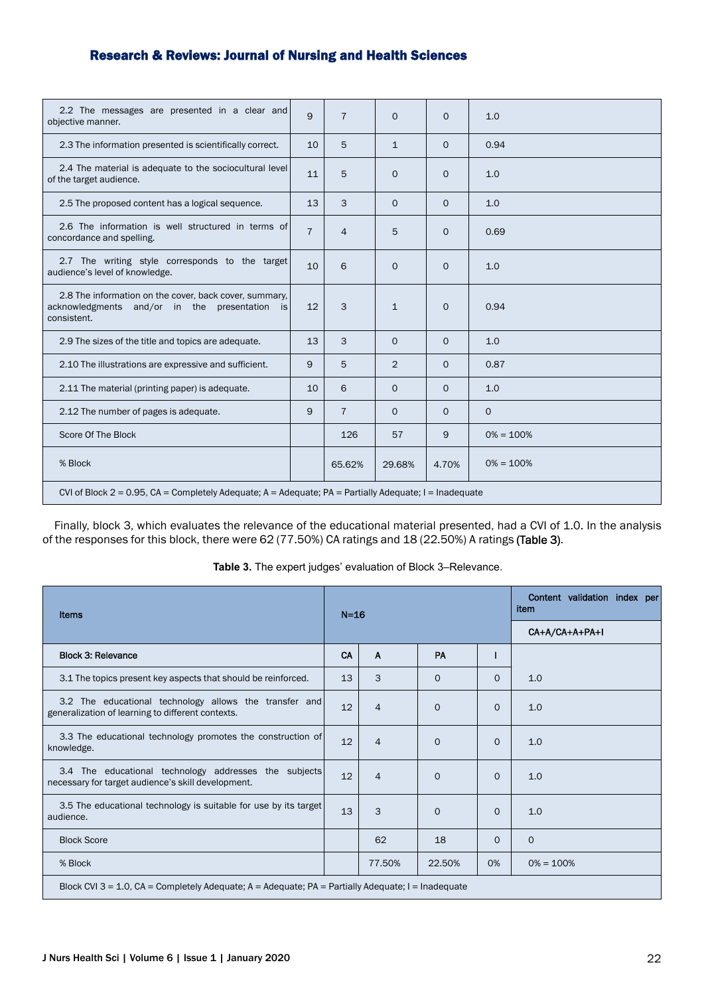| 2.2 The messages are presented in a clear and<br>objective manner.                                                     | 9              | $\overline{7}$ | $\Omega$     | $\Omega$ | 1.0           |  |  |
|------------------------------------------------------------------------------------------------------------------------|----------------|----------------|--------------|----------|---------------|--|--|
| 2.3 The information presented is scientifically correct.                                                               | 10             | 5              | $\mathbf{1}$ | $\Omega$ | 0.94          |  |  |
| 2.4 The material is adequate to the sociocultural level<br>of the target audience.                                     | 11             | 5              | $\Omega$     | $\Omega$ | 1.0           |  |  |
| 2.5 The proposed content has a logical sequence.                                                                       | 13             | 3              | $\Omega$     | $\Omega$ | 1.0           |  |  |
| 2.6 The information is well structured in terms of<br>concordance and spelling.                                        | $\overline{7}$ | $\overline{4}$ | 5            | $\Omega$ | 0.69          |  |  |
| 2.7 The writing style corresponds to the target<br>audience's level of knowledge.                                      | 10             | 6              | $\Omega$     | $\Omega$ | 1.0           |  |  |
| 2.8 The information on the cover, back cover, summary.<br>acknowledgments and/or in the presentation is<br>consistent. | 12             | 3              | $\mathbf{1}$ | $\Omega$ | 0.94          |  |  |
| 2.9 The sizes of the title and topics are adequate.                                                                    | 13             | 3              | $\mathbf{O}$ | $\Omega$ | 1.0           |  |  |
| 2.10 The illustrations are expressive and sufficient.                                                                  | 9              | 5              | 2            | $\Omega$ | 0.87          |  |  |
| 2.11 The material (printing paper) is adequate.                                                                        | 10             | 6              | $\Omega$     | $\Omega$ | 1.0           |  |  |
| 2.12 The number of pages is adequate.                                                                                  | 9              | $\overline{7}$ | $\mathbf{O}$ | $\Omega$ | $\mathbf{O}$  |  |  |
| Score Of The Block                                                                                                     |                | 126            | 57           | 9        | $0\% = 100\%$ |  |  |
| % Block                                                                                                                |                | 65.62%         | 29.68%       | 4.70%    | $0\% = 100\%$ |  |  |
| CVI of Block 2 = 0.95, CA = Completely Adequate; A = Adequate; PA = Partially Adequate; I = Inadequate                 |                |                |              |          |               |  |  |

Finally, block 3, which evaluates the relevance of the educational material presented, had a CVI of 1.0. In the analysis of the responses for this block, there were 62 (77.50%) CA ratings and 18 (22.50%) A ratings (Table 3).

| Items                                                                                                       |    | $N=16$         |           | Content validation index per<br>item |               |  |
|-------------------------------------------------------------------------------------------------------------|----|----------------|-----------|--------------------------------------|---------------|--|
|                                                                                                             |    |                |           | CA+A/CA+A+PA+I                       |               |  |
| <b>Block 3: Relevance</b>                                                                                   | CA | A              | <b>PA</b> |                                      |               |  |
| 3.1 The topics present key aspects that should be reinforced.                                               | 13 | 3              | $\Omega$  | $\Omega$                             | 1.0           |  |
| 3.2 The educational technology allows the transfer and<br>generalization of learning to different contexts. | 12 | $\overline{4}$ | $\Omega$  | $\Omega$                             | 1.0           |  |
| 3.3 The educational technology promotes the construction of<br>knowledge.                                   | 12 | $\overline{4}$ | $\Omega$  | $\Omega$                             | 1.0           |  |
| 3.4 The educational technology addresses the subjects<br>necessary for target audience's skill development. | 12 | $\overline{4}$ | $\Omega$  | $\Omega$                             | 1.0           |  |
| 3.5 The educational technology is suitable for use by its target<br>audience.                               | 13 | 3              | $\Omega$  | $\Omega$                             | 1.0           |  |
| <b>Block Score</b>                                                                                          |    | 62             | 18        | $\Omega$                             | $\Omega$      |  |
| % Block                                                                                                     |    | 77.50%         | 22.50%    | 0%                                   | $0\% = 100\%$ |  |
| Block CVI 3 = 1.0, CA = Completely Adequate; A = Adequate; PA = Partially Adequate; I = Inadequate          |    |                |           |                                      |               |  |

**Table 3.** The expert judges' evaluation of Block 3–Relevance.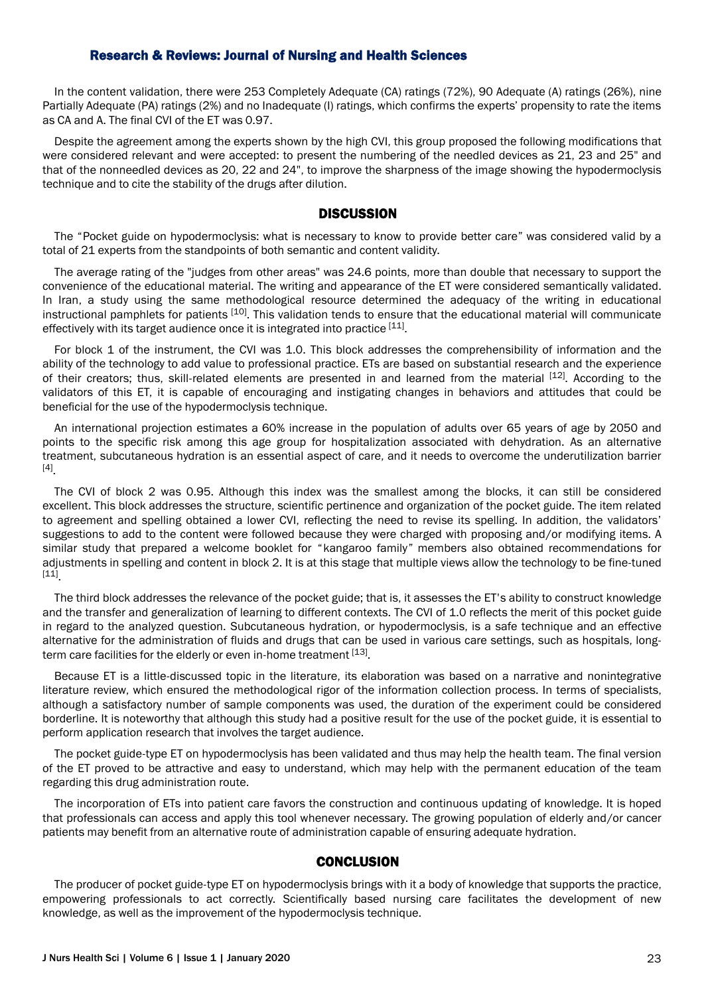In the content validation, there were 253 Completely Adequate (CA) ratings (72%), 90 Adequate (A) ratings (26%), nine Partially Adequate (PA) ratings (2%) and no Inadequate (I) ratings, which confirms the experts' propensity to rate the items as CA and A. The final CVI of the ET was 0.97.

Despite the agreement among the experts shown by the high CVI, this group proposed the following modifications that were considered relevant and were accepted: to present the numbering of the needled devices as 21, 23 and 25" and that of the nonneedled devices as 20, 22 and 24", to improve the sharpness of the image showing the hypodermoclysis technique and to cite the stability of the drugs after dilution.

### **DISCUSSION**

The "Pocket guide on hypodermoclysis: what is necessary to know to provide better care" was considered valid by a total of 21 experts from the standpoints of both semantic and content validity.

The average rating of the "judges from other areas" was 24.6 points, more than double that necessary to support the convenience of the educational material. The writing and appearance of the ET were considered semantically validated. In Iran, a study using the same methodological resource determined the adequacy of the writing in educational instructional pamphlets for patients <sup>[10]</sup>. This validation tends to ensure that the educational material will communicate effectively with its target audience once it is integrated into practice [11].

For block 1 of the instrument, the CVI was 1.0. This block addresses the comprehensibility of information and the ability of the technology to add value to professional practice. ETs are based on substantial research and the experience of their creators; thus, skill-related elements are presented in and learned from the material [12]. According to the validators of this ET, it is capable of encouraging and instigating changes in behaviors and attitudes that could be beneficial for the use of the hypodermoclysis technique.

An international projection estimates a 60% increase in the population of adults over 65 years of age by 2050 and points to the specific risk among this age group for hospitalization associated with dehydration. As an alternative treatment, subcutaneous hydration is an essential aspect of care, and it needs to overcome the underutilization barrier [4] .

The CVI of block 2 was 0.95. Although this index was the smallest among the blocks, it can still be considered excellent. This block addresses the structure, scientific pertinence and organization of the pocket guide. The item related to agreement and spelling obtained a lower CVI, reflecting the need to revise its spelling. In addition, the validators' suggestions to add to the content were followed because they were charged with proposing and/or modifying items. A similar study that prepared a welcome booklet for "kangaroo family" members also obtained recommendations for adjustments in spelling and content in block 2. It is at this stage that multiple views allow the technology to be fine-tuned [11] .

The third block addresses the relevance of the pocket guide; that is, it assesses the ET's ability to construct knowledge and the transfer and generalization of learning to different contexts. The CVI of 1.0 reflects the merit of this pocket guide in regard to the analyzed question. Subcutaneous hydration, or hypodermoclysis, is a safe technique and an effective alternative for the administration of fluids and drugs that can be used in various care settings, such as hospitals, longterm care facilities for the elderly or even in-home treatment [13].

Because ET is a little-discussed topic in the literature, its elaboration was based on a narrative and nonintegrative literature review, which ensured the methodological rigor of the information collection process. In terms of specialists, although a satisfactory number of sample components was used, the duration of the experiment could be considered borderline. It is noteworthy that although this study had a positive result for the use of the pocket guide, it is essential to perform application research that involves the target audience.

The pocket guide-type ET on hypodermoclysis has been validated and thus may help the health team. The final version of the ET proved to be attractive and easy to understand, which may help with the permanent education of the team regarding this drug administration route.

The incorporation of ETs into patient care favors the construction and continuous updating of knowledge. It is hoped that professionals can access and apply this tool whenever necessary. The growing population of elderly and/or cancer patients may benefit from an alternative route of administration capable of ensuring adequate hydration.

# **CONCLUSION**

The producer of pocket guide-type ET on hypodermoclysis brings with it a body of knowledge that supports the practice, empowering professionals to act correctly. Scientifically based nursing care facilitates the development of new knowledge, as well as the improvement of the hypodermoclysis technique.